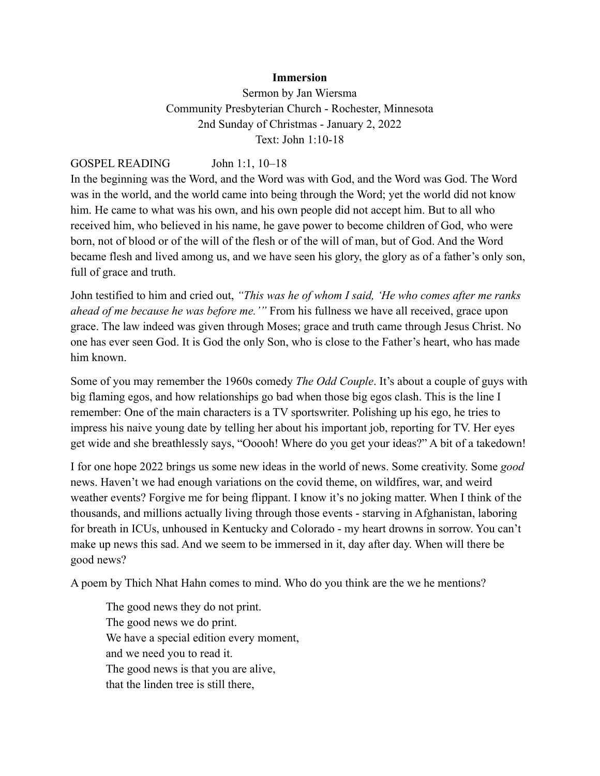## **Immersion**

Sermon by Jan Wiersma Community Presbyterian Church - Rochester, Minnesota 2nd Sunday of Christmas - January 2, 2022 Text: John 1:10-18

GOSPEL READING John 1:1, 10–18

In the beginning was the Word, and the Word was with God, and the Word was God. The Word was in the world, and the world came into being through the Word; yet the world did not know him. He came to what was his own, and his own people did not accept him. But to all who received him, who believed in his name, he gave power to become children of God, who were born, not of blood or of the will of the flesh or of the will of man, but of God. And the Word became flesh and lived among us, and we have seen his glory, the glory as of a father's only son, full of grace and truth.

John testified to him and cried out, *"This was he of whom I said, 'He who comes after me ranks ahead of me because he was before me.'"* From his fullness we have all received, grace upon grace. The law indeed was given through Moses; grace and truth came through Jesus Christ. No one has ever seen God. It is God the only Son, who is close to the Father's heart, who has made him known.

Some of you may remember the 1960s comedy *The Odd Couple*. It's about a couple of guys with big flaming egos, and how relationships go bad when those big egos clash. This is the line I remember: One of the main characters is a TV sportswriter. Polishing up his ego, he tries to impress his naive young date by telling her about his important job, reporting for TV. Her eyes get wide and she breathlessly says, "Ooooh! Where do you get your ideas?" A bit of a takedown!

I for one hope 2022 brings us some new ideas in the world of news. Some creativity. Some *good* news. Haven't we had enough variations on the covid theme, on wildfires, war, and weird weather events? Forgive me for being flippant. I know it's no joking matter. When I think of the thousands, and millions actually living through those events - starving in Afghanistan, laboring for breath in ICUs, unhoused in Kentucky and Colorado - my heart drowns in sorrow. You can't make up news this sad. And we seem to be immersed in it, day after day. When will there be good news?

A poem by Thich Nhat Hahn comes to mind. Who do you think are the we he mentions?

The good news they do not print. The good news we do print. We have a special edition every moment, and we need you to read it. The good news is that you are alive, that the linden tree is still there,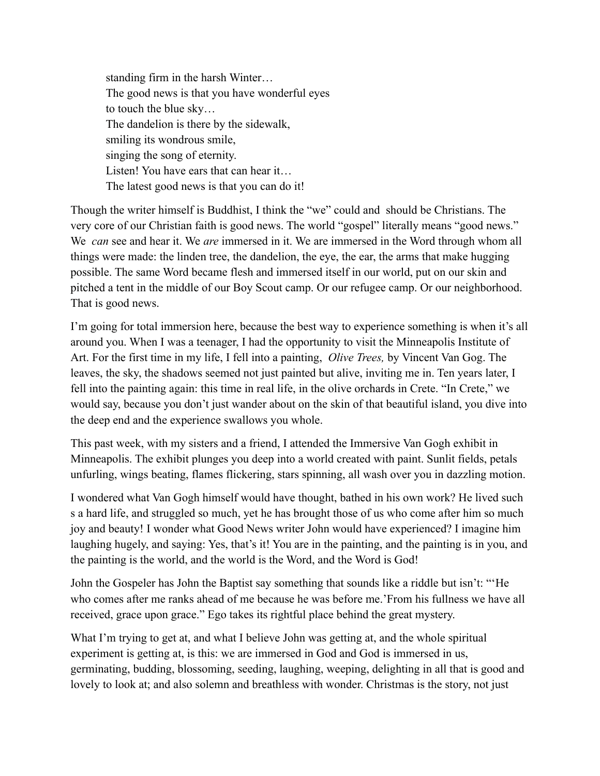standing firm in the harsh Winter… The good news is that you have wonderful eyes to touch the blue sky… The dandelion is there by the sidewalk, smiling its wondrous smile, singing the song of eternity. Listen! You have ears that can hear it... The latest good news is that you can do it!

Though the writer himself is Buddhist, I think the "we" could and should be Christians. The very core of our Christian faith is good news. The world "gospel" literally means "good news." We *can* see and hear it. We *are* immersed in it. We are immersed in the Word through whom all things were made: the linden tree, the dandelion, the eye, the ear, the arms that make hugging possible. The same Word became flesh and immersed itself in our world, put on our skin and pitched a tent in the middle of our Boy Scout camp. Or our refugee camp. Or our neighborhood. That is good news.

I'm going for total immersion here, because the best way to experience something is when it's all around you. When I was a teenager, I had the opportunity to visit the Minneapolis Institute of Art. For the first time in my life, I fell into a painting, *Olive Trees,* by Vincent Van Gog. The leaves, the sky, the shadows seemed not just painted but alive, inviting me in. Ten years later, I fell into the painting again: this time in real life, in the olive orchards in Crete. "In Crete," we would say, because you don't just wander about on the skin of that beautiful island, you dive into the deep end and the experience swallows you whole.

This past week, with my sisters and a friend, I attended the Immersive Van Gogh exhibit in Minneapolis. The exhibit plunges you deep into a world created with paint. Sunlit fields, petals unfurling, wings beating, flames flickering, stars spinning, all wash over you in dazzling motion.

I wondered what Van Gogh himself would have thought, bathed in his own work? He lived such s a hard life, and struggled so much, yet he has brought those of us who come after him so much joy and beauty! I wonder what Good News writer John would have experienced? I imagine him laughing hugely, and saying: Yes, that's it! You are in the painting, and the painting is in you, and the painting is the world, and the world is the Word, and the Word is God!

John the Gospeler has John the Baptist say something that sounds like a riddle but isn't: "'He who comes after me ranks ahead of me because he was before me.'From his fullness we have all received, grace upon grace." Ego takes its rightful place behind the great mystery.

What I'm trying to get at, and what I believe John was getting at, and the whole spiritual experiment is getting at, is this: we are immersed in God and God is immersed in us, germinating, budding, blossoming, seeding, laughing, weeping, delighting in all that is good and lovely to look at; and also solemn and breathless with wonder. Christmas is the story, not just